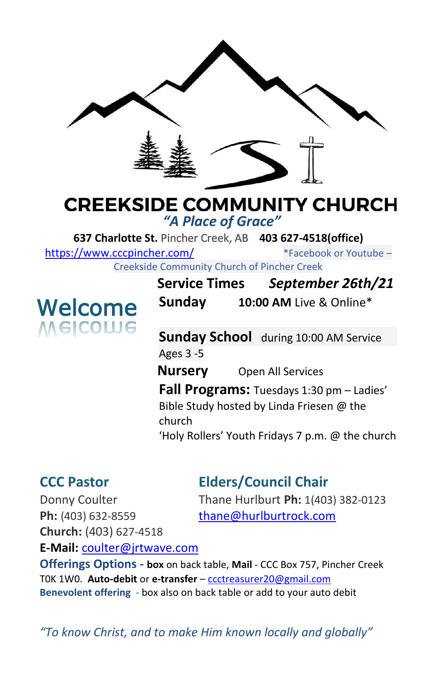

## **CREEKSIDE COMMUNITY CHURCH**

*"A Place of Grace"*

**637 Charlotte St.** Pincher Creek, AB **403 627-4518(office)** 

<https://www.cccpincher.com/>\*Facebook or Youtube –

Creekside Community Church of Pincher Creek

# **Welcome**<br>Melcolue

**Service Times** *September 26th/21* **Sunday 10:00 AM** Live & Online\*

**Sunday School** during 10:00 AM Service Ages 3 -5

**Nursery** Open All Services

**Fall Programs:** Tuesdays 1:30 pm – Ladies' Bible Study hosted by Linda Friesen @ the church

'Holy Rollers' Youth Fridays 7 p.m. @ the church

### **CCC Pastor Elders/Council Chair**

**Ph:** (403) 632-8559 [thane@hurlburtrock.com](mailto:thane@hurlburtrock.com) **Church:** (403) 627-4518

Donny Coulter Thane Hurlburt **Ph:** 1(403) 382-0123

**E-Mail:** [coulter@jrtwave.com](mailto:coulter@jrtwave.com)

**Offerings Options - box** on back table, **Mail** - CCC Box 757, Pincher Creek T0K 1W0. **Auto-debit** or **e-transfer** – [ccctreasurer20@gmail.com](mailto:ccctreasurer20@gmail.com) **Benevolent offering** - box also on back table or add to your auto debit

*"To know Christ, and to make Him known locally and globally"*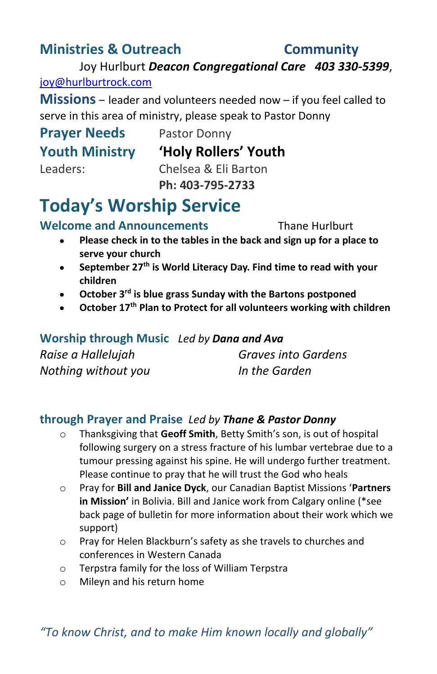#### **Ministries & Outreach Community**

Joy Hurlburt *Deacon Congregational Care 403 330-5399*, [joy@hurlburtrock.com](mailto:joy@hurlburtrock.com)

**Missions** – leader and volunteers needed now – if you feel called to serve in this area of ministry, please speak to Pastor Donny

# **Prayer Needs** Pastor Donny

**Youth Ministry 'Holy Rollers' Youth**

Leaders: Chelsea & Eli Barton **Ph: 403-795-2733**

## **Today's Worship Service**

**Welcome and Announcements** Thane Hurlburt

- 
- **Please check in to the tables in the back and sign up for a place to serve your church**
- **September 27th is World Literacy Day. Find time to read with your children**
- **October 3rd is blue grass Sunday with the Bartons postponed**
- **October 17th Plan to Protect for all volunteers working with children**

**Worship through Music** *Led by Dana and Ava Raise a Hallelujah Graves into Gardens Nothing without you In the Garden*

#### **through Prayer and Praise** *Led by Thane & Pastor Donny*

- o Thanksgiving that **Geoff Smith**, Betty Smith's son, is out of hospital following surgery on a stress fracture of his lumbar vertebrae due to a tumour pressing against his spine. He will undergo further treatment. Please continue to pray that he will trust the God who heals
- o Pray for **Bill and Janice Dyck**, our Canadian Baptist Missions '**Partners in Mission'** in Bolivia. Bill and Janice work from Calgary online (\*see back page of bulletin for more information about their work which we support)
- o Pray for Helen Blackburn's safety as she travels to churches and conferences in Western Canada
- o Terpstra family for the loss of William Terpstra
- o Mileyn and his return home

*"To know Christ, and to make Him known locally and globally"*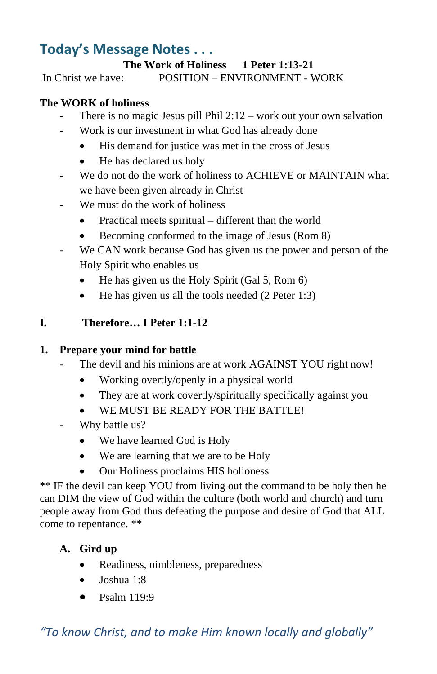#### **Today's Message Notes . . .**

#### **The Work of Holiness 1 Peter 1:13-21**

In Christ we have: POSITION – ENVIRONMENT - WORK

#### **The WORK of holiness**

- There is no magic Jesus pill Phil  $2:12$  work out your own salvation
- Work is our investment in what God has already done
	- His demand for justice was met in the cross of Jesus
	- He has declared us holy
- We do not do the work of holiness to ACHIEVE or MAINTAIN what we have been given already in Christ
- We must do the work of holiness
	- Practical meets spiritual different than the world
	- Becoming conformed to the image of Jesus (Rom 8)
- We CAN work because God has given us the power and person of the Holy Spirit who enables us
	- He has given us the Holy Spirit (Gal 5, Rom 6)
	- He has given us all the tools needed (2 Peter 1:3)

#### **I. Therefore… I Peter 1:1-12**

#### **1. Prepare your mind for battle**

- The devil and his minions are at work AGAINST YOU right now!
	- Working overtly/openly in a physical world
	- They are at work covertly/spiritually specifically against you
	- WE MUST BE READY FOR THE BATTLE!
- Why battle us?
	- We have learned God is Holy
	- We are learning that we are to be Holy
	- Our Holiness proclaims HIS holioness

\*\* IF the devil can keep YOU from living out the command to be holy then he can DIM the view of God within the culture (both world and church) and turn people away from God thus defeating the purpose and desire of God that ALL come to repentance. \*\*

#### **A. Gird up**

- Readiness, nimbleness, preparedness
- Joshua 1:8
- $\bullet$  Psalm 119:9

*"To know Christ, and to make Him known locally and globally"*